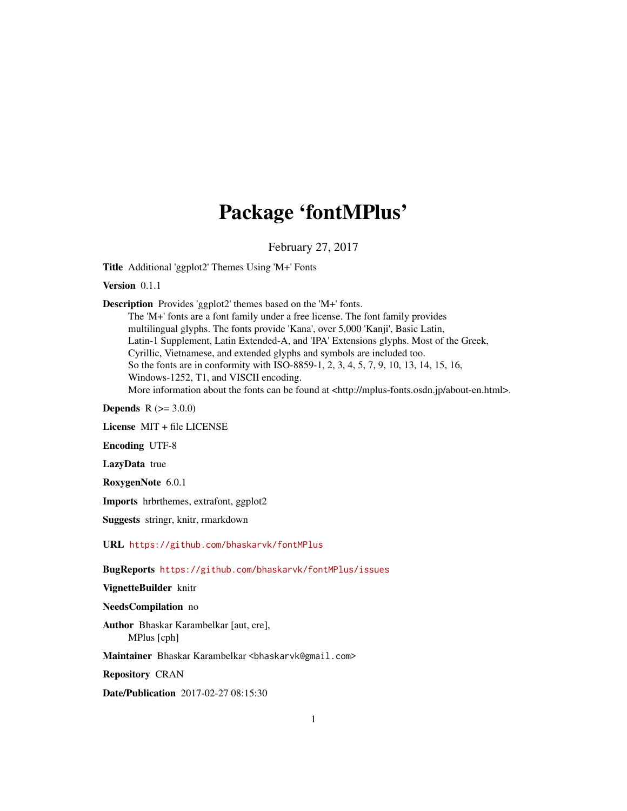# Package 'fontMPlus'

February 27, 2017

<span id="page-0-0"></span>Title Additional 'ggplot2' Themes Using 'M+' Fonts

Version 0.1.1

Description Provides 'ggplot2' themes based on the 'M+' fonts.

The 'M+' fonts are a font family under a free license. The font family provides multilingual glyphs. The fonts provide 'Kana', over 5,000 'Kanji', Basic Latin, Latin-1 Supplement, Latin Extended-A, and 'IPA' Extensions glyphs. Most of the Greek, Cyrillic, Vietnamese, and extended glyphs and symbols are included too. So the fonts are in conformity with ISO-8859-1, 2, 3, 4, 5, 7, 9, 10, 13, 14, 15, 16, Windows-1252, T1, and VISCII encoding. More information about the fonts can be found at <http://mplus-fonts.osdn.jp/about-en.html>.

**Depends**  $R (= 3.0.0)$ 

License MIT + file LICENSE

Encoding UTF-8

LazyData true

RoxygenNote 6.0.1

Imports hrbrthemes, extrafont, ggplot2

Suggests stringr, knitr, rmarkdown

URL <https://github.com/bhaskarvk/fontMPlus>

BugReports <https://github.com/bhaskarvk/fontMPlus/issues>

VignetteBuilder knitr

# NeedsCompilation no

Author Bhaskar Karambelkar [aut, cre], MPlus [cph]

Maintainer Bhaskar Karambelkar <br/>bhaskarvk@gmail.com>

Repository CRAN

Date/Publication 2017-02-27 08:15:30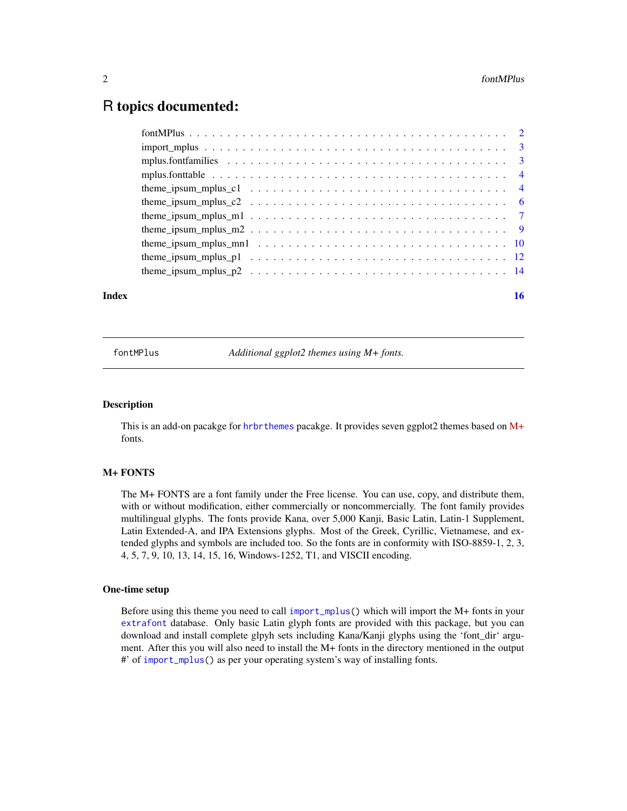# <span id="page-1-0"></span>R topics documented:

| Index | 16 |
|-------|----|
|       |    |
|       |    |
|       |    |
|       |    |
|       |    |
|       |    |
|       |    |
|       |    |
|       |    |
|       |    |
|       |    |

fontMPlus *Additional ggplot2 themes using M+ fonts.*

# Description

This is an add-on pacakge for [hrbrthemes](#page-0-0) pacakge. It provides seven ggplot2 themes based on [M+](http://mplus-fonts.osdn.jp/about-en.html) fonts.

# M+ FONTS

The M+ FONTS are a font family under the Free license. You can use, copy, and distribute them, with or without modification, either commercially or noncommercially. The font family provides multilingual glyphs. The fonts provide Kana, over 5,000 Kanji, Basic Latin, Latin-1 Supplement, Latin Extended-A, and IPA Extensions glyphs. Most of the Greek, Cyrillic, Vietnamese, and extended glyphs and symbols are included too. So the fonts are in conformity with ISO-8859-1, 2, 3, 4, 5, 7, 9, 10, 13, 14, 15, 16, Windows-1252, T1, and VISCII encoding.

# One-time setup

Before using this theme you need to call [import\\_mplus\(](#page-2-1)) which will import the M+ fonts in your [extrafont](#page-0-0) database. Only basic Latin glyph fonts are provided with this package, but you can download and install complete glpyh sets including Kana/Kanji glyphs using the 'font\_dir' argument. After this you will also need to install the M+ fonts in the directory mentioned in the output #' of [import\\_mplus\(](#page-2-1)) as per your operating system's way of installing fonts.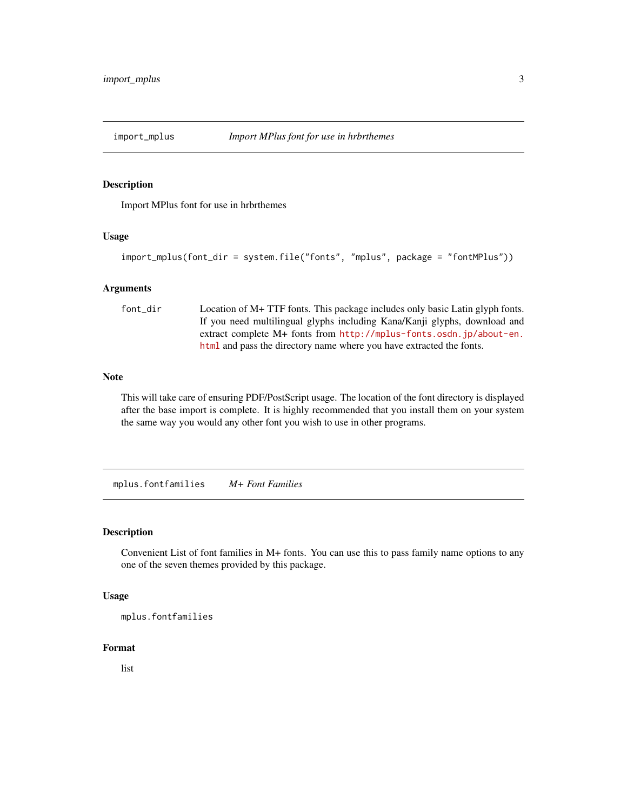<span id="page-2-1"></span><span id="page-2-0"></span>

# Description

Import MPlus font for use in hrbrthemes

# Usage

```
import_mplus(font_dir = system.file("fonts", "mplus", package = "fontMPlus"))
```
#### Arguments

font\_dir Location of M+ TTF fonts. This package includes only basic Latin glyph fonts. If you need multilingual glyphs including Kana/Kanji glyphs, download and extract complete M+ fonts from [http://mplus-fonts.osdn.jp/about-en.](http://mplus-fonts.osdn.jp/about-en.html) [html](http://mplus-fonts.osdn.jp/about-en.html) and pass the directory name where you have extracted the fonts.

# Note

This will take care of ensuring PDF/PostScript usage. The location of the font directory is displayed after the base import is complete. It is highly recommended that you install them on your system the same way you would any other font you wish to use in other programs.

mplus.fontfamilies *M+ Font Families*

# Description

Convenient List of font families in M+ fonts. You can use this to pass family name options to any one of the seven themes provided by this package.

#### Usage

```
mplus.fontfamilies
```
# Format

list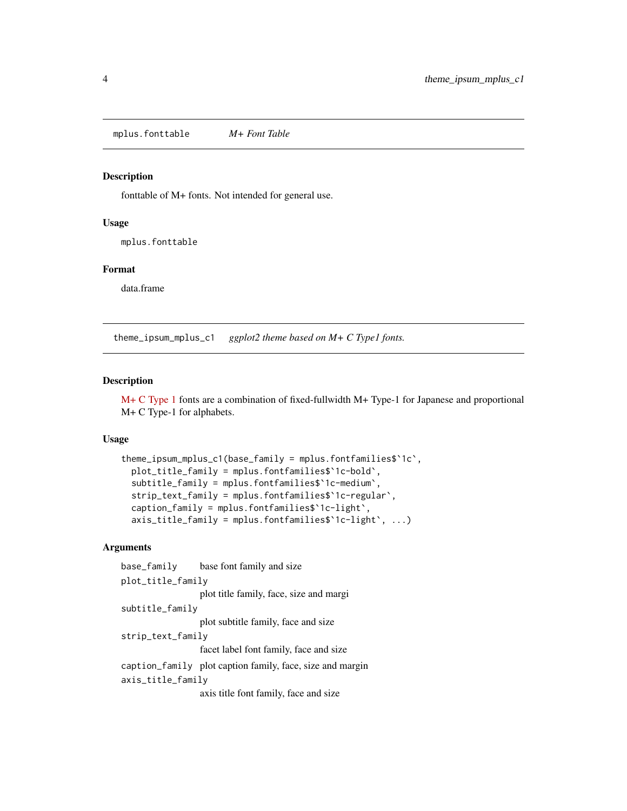<span id="page-3-0"></span>mplus.fonttable *M+ Font Table*

# Description

fonttable of M+ fonts. Not intended for general use.

#### Usage

mplus.fonttable

# Format

data.frame

theme\_ipsum\_mplus\_c1 *ggplot2 theme based on M+ C Type1 fonts.*

# Description

[M+ C Type 1](http://mplus-fonts.osdn.jp/design.html#mplus_c1) fonts are a combination of fixed-fullwidth M+ Type-1 for Japanese and proportional M+ C Type-1 for alphabets.

# Usage

```
theme_ipsum_mplus_c1(base_family = mplus.fontfamilies$`1c`,
 plot_title_family = mplus.fontfamilies$`1c-bold`,
  subtitle_family = mplus.fontfamilies$`1c-medium`,
  strip_text_family = mplus.fontfamilies$`1c-regular`,
  caption_family = mplus.fontfamilies$`1c-light`,
  axis_title_family = mplus.fontfamilies$`1c-light`, ...)
```

```
base_family base font family and size
plot_title_family
                  plot title family, face, size and margi
subtitle_family
                  plot subtitle family, face and size
strip_text_family
                  facet label font family, face and size
caption_family plot caption family, face, size and margin
axis_title_family
                  axis title font family, face and size
```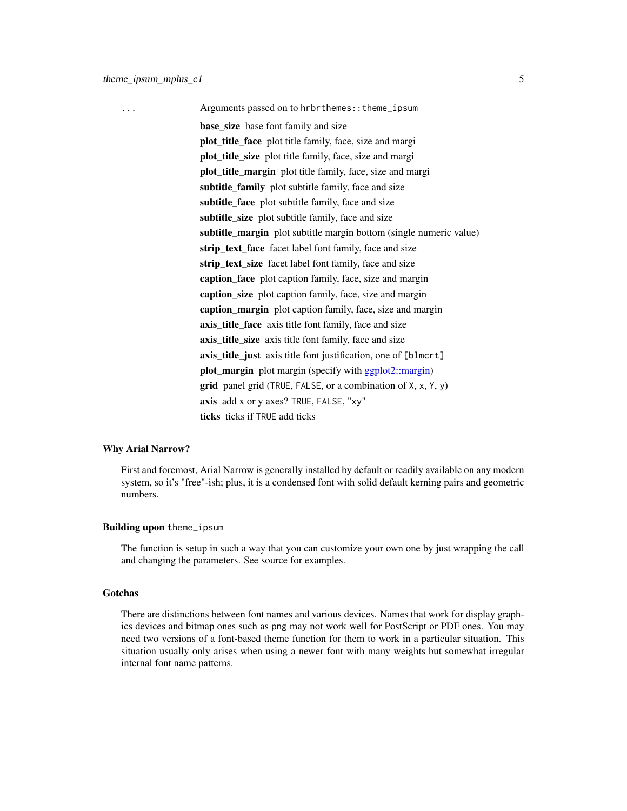<span id="page-4-0"></span>... Arguments passed on to hrbrthemes::theme\_ipsum base size base font family and size plot\_title\_face plot title family, face, size and margi plot\_title\_size plot title family, face, size and margi plot\_title\_margin plot title family, face, size and margi subtitle family plot subtitle family, face and size subtitle\_face plot subtitle family, face and size subtitle\_size plot subtitle family, face and size subtitle\_margin plot subtitle margin bottom (single numeric value) strip\_text\_face facet label font family, face and size strip\_text\_size facet label font family, face and size caption\_face plot caption family, face, size and margin caption size plot caption family, face, size and margin caption\_margin plot caption family, face, size and margin axis\_title\_face axis title font family, face and size axis title size axis title font family, face and size axis\_title\_just axis title font justification, one of [blmcrt] plot\_margin plot margin (specify with [ggplot2::margin\)](#page-0-0) **grid** panel grid (TRUE, FALSE, or a combination of  $X$ ,  $X$ ,  $Y$ ,  $Y$ ) axis add x or y axes? TRUE, FALSE, "xy" ticks ticks if TRUE add ticks

#### Why Arial Narrow?

First and foremost, Arial Narrow is generally installed by default or readily available on any modern system, so it's "free"-ish; plus, it is a condensed font with solid default kerning pairs and geometric numbers.

#### Building upon theme\_ipsum

The function is setup in such a way that you can customize your own one by just wrapping the call and changing the parameters. See source for examples.

# Gotchas

There are distinctions between font names and various devices. Names that work for display graphics devices and bitmap ones such as png may not work well for PostScript or PDF ones. You may need two versions of a font-based theme function for them to work in a particular situation. This situation usually only arises when using a newer font with many weights but somewhat irregular internal font name patterns.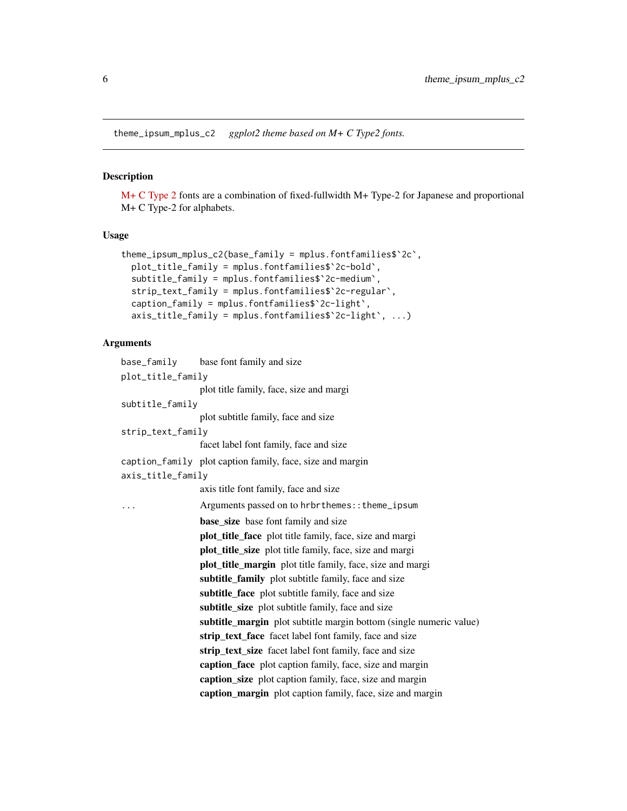<span id="page-5-0"></span>theme\_ipsum\_mplus\_c2 *ggplot2 theme based on M+ C Type2 fonts.*

# Description

[M+ C Type 2](http://mplus-fonts.osdn.jp/design.html#mplus_c2) fonts are a combination of fixed-fullwidth M+ Type-2 for Japanese and proportional M+ C Type-2 for alphabets.

# Usage

```
theme_ipsum_mplus_c2(base_family = mplus.fontfamilies$`2c`,
 plot_title_family = mplus.fontfamilies$`2c-bold`,
 subtitle_family = mplus.fontfamilies$`2c-medium`,
 strip_text_family = mplus.fontfamilies$`2c-regular`,
 caption_family = mplus.fontfamilies$`2c-light`,
 axis_title_family = mplus.fontfamilies$`2c-light`, ...)
```

|                   | base_family base font family and size                              |
|-------------------|--------------------------------------------------------------------|
| plot_title_family |                                                                    |
|                   | plot title family, face, size and margi                            |
| subtitle_family   |                                                                    |
|                   | plot subtitle family, face and size                                |
| strip_text_family |                                                                    |
|                   | facet label font family, face and size                             |
|                   | caption_family plot caption family, face, size and margin          |
| axis_title_family |                                                                    |
|                   | axis title font family, face and size                              |
| $\cdots$          | Arguments passed on to hrbrthemes:: theme_ipsum                    |
|                   | <b>base_size</b> base font family and size                         |
|                   | <b>plot_title_face</b> plot title family, face, size and margi     |
|                   | <b>plot_title_size</b> plot title family, face, size and margi     |
|                   | plot_title_margin plot title family, face, size and margi          |
|                   | subtitle_family plot subtitle family, face and size                |
|                   | subtitle_face plot subtitle family, face and size                  |
|                   | subtitle_size plot subtitle family, face and size                  |
|                   | subtitle_margin plot subtitle margin bottom (single numeric value) |
|                   | strip_text_face facet label font family, face and size             |
|                   | strip_text_size facet label font family, face and size             |
|                   | caption_face plot caption family, face, size and margin            |
|                   | caption_size plot caption family, face, size and margin            |
|                   | caption_margin plot caption family, face, size and margin          |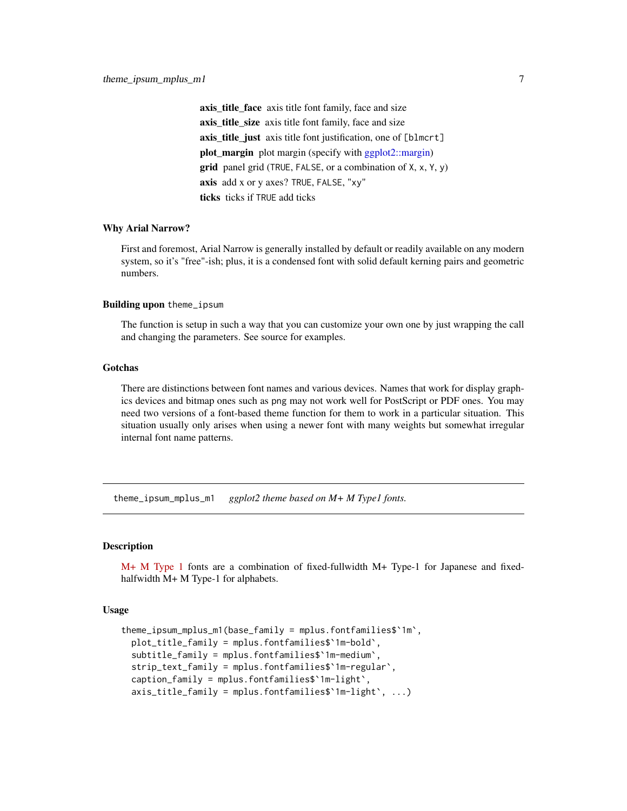<span id="page-6-0"></span>axis\_title\_face axis title font family, face and size axis\_title\_size axis title font family, face and size axis title just axis title font justification, one of [blmcrt] plot\_margin plot margin (specify with [ggplot2::margin\)](#page-0-0) **grid** panel grid (TRUE, FALSE, or a combination of  $X$ ,  $x$ ,  $Y$ ,  $y$ ) axis add x or y axes? TRUE, FALSE, "xy" ticks ticks if TRUE add ticks

#### Why Arial Narrow?

First and foremost, Arial Narrow is generally installed by default or readily available on any modern system, so it's "free"-ish; plus, it is a condensed font with solid default kerning pairs and geometric numbers.

# Building upon theme\_ipsum

The function is setup in such a way that you can customize your own one by just wrapping the call and changing the parameters. See source for examples.

#### Gotchas

There are distinctions between font names and various devices. Names that work for display graphics devices and bitmap ones such as png may not work well for PostScript or PDF ones. You may need two versions of a font-based theme function for them to work in a particular situation. This situation usually only arises when using a newer font with many weights but somewhat irregular internal font name patterns.

theme\_ipsum\_mplus\_m1 *ggplot2 theme based on M+ M Type1 fonts.*

# Description

[M+ M Type 1](http://mplus-fonts.osdn.jp/design.html#mplus_m1) fonts are a combination of fixed-fullwidth M+ Type-1 for Japanese and fixedhalfwidth M+ M Type-1 for alphabets.

# Usage

```
theme_ipsum_mplus_m1(base_family = mplus.fontfamilies$`1m`,
 plot_title_family = mplus.fontfamilies$`1m-bold`,
 subtitle_family = mplus.fontfamilies$`1m-medium`,
 strip_text_family = mplus.fontfamilies$`1m-regular`,
 caption_family = mplus.fontfamilies$`1m-light`,
 axis_title_family = mplus.fontfamilies$`1m-light`, ...)
```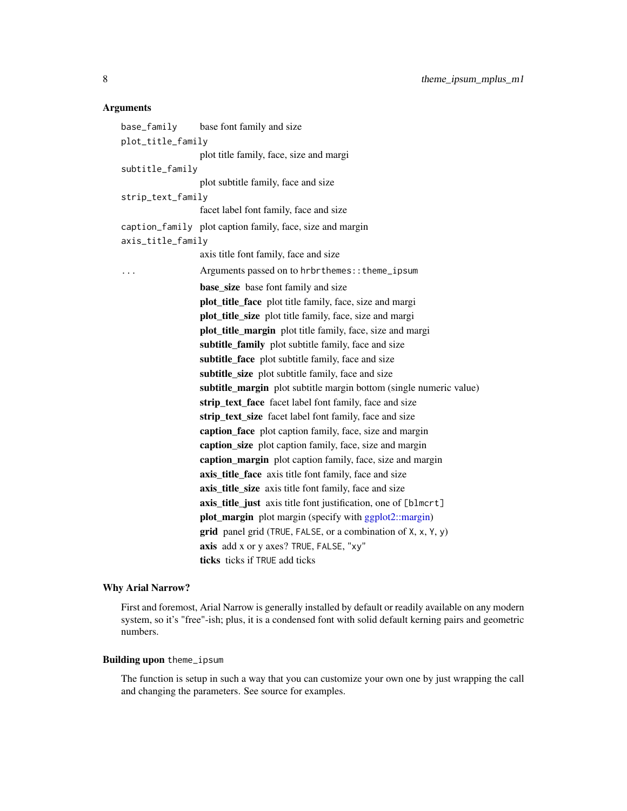# <span id="page-7-0"></span>Arguments

| base_family       | base font family and size                                                 |  |
|-------------------|---------------------------------------------------------------------------|--|
| plot_title_family |                                                                           |  |
|                   | plot title family, face, size and margi                                   |  |
| subtitle_family   |                                                                           |  |
|                   | plot subtitle family, face and size                                       |  |
| strip_text_family |                                                                           |  |
|                   | facet label font family, face and size                                    |  |
|                   | caption_family plot caption family, face, size and margin                 |  |
| axis_title_family |                                                                           |  |
|                   | axis title font family, face and size                                     |  |
| .                 | Arguments passed on to hrbrthemes:: theme_ipsum                           |  |
|                   | <b>base_size</b> base font family and size                                |  |
|                   | plot_title_face plot title family, face, size and margi                   |  |
|                   | plot_title_size plot title family, face, size and margi                   |  |
|                   | plot_title_margin plot title family, face, size and margi                 |  |
|                   | subtitle_family plot subtitle family, face and size                       |  |
|                   | subtitle_face plot subtitle family, face and size                         |  |
|                   | subtitle_size plot subtitle family, face and size                         |  |
|                   | subtitle_margin plot subtitle margin bottom (single numeric value)        |  |
|                   | strip_text_face facet label font family, face and size                    |  |
|                   | strip_text_size facet label font family, face and size                    |  |
|                   | caption_face plot caption family, face, size and margin                   |  |
|                   | caption_size plot caption family, face, size and margin                   |  |
|                   | caption_margin plot caption family, face, size and margin                 |  |
|                   | axis_title_face axis title font family, face and size                     |  |
|                   | axis_title_size axis title font family, face and size                     |  |
|                   | axis_title_just axis title font justification, one of [blmcrt]            |  |
|                   | <b>plot_margin</b> plot margin (specify with ggplot2::margin)             |  |
|                   | grid panel grid (TRUE, FALSE, or a combination of $X$ , $x$ , $Y$ , $y$ ) |  |
|                   | axis add x or y axes? TRUE, FALSE, "xy"                                   |  |
|                   | ticks ticks if TRUE add ticks                                             |  |

# Why Arial Narrow?

First and foremost, Arial Narrow is generally installed by default or readily available on any modern system, so it's "free"-ish; plus, it is a condensed font with solid default kerning pairs and geometric numbers.

# Building upon theme\_ipsum

The function is setup in such a way that you can customize your own one by just wrapping the call and changing the parameters. See source for examples.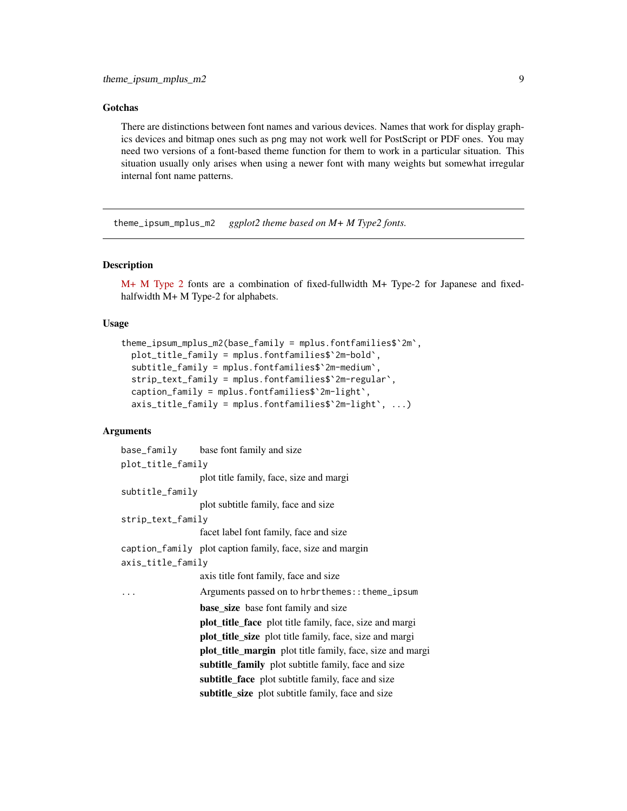#### <span id="page-8-0"></span>Gotchas

There are distinctions between font names and various devices. Names that work for display graphics devices and bitmap ones such as png may not work well for PostScript or PDF ones. You may need two versions of a font-based theme function for them to work in a particular situation. This situation usually only arises when using a newer font with many weights but somewhat irregular internal font name patterns.

theme\_ipsum\_mplus\_m2 *ggplot2 theme based on M+ M Type2 fonts.*

# Description

[M+ M Type 2](http://mplus-fonts.osdn.jp/design.html#mplus_m2) fonts are a combination of fixed-fullwidth M+ Type-2 for Japanese and fixedhalfwidth M+ M Type-2 for alphabets.

# Usage

```
theme_ipsum_mplus_m2(base_family = mplus.fontfamilies$`2m`,
 plot_title_family = mplus.fontfamilies$`2m-bold`,
  subtitle_family = mplus.fontfamilies$`2m-medium`,
  strip_text_family = mplus.fontfamilies$`2m-regular`,
  caption_family = mplus.fontfamilies$`2m-light`,
  axis_title_family = mplus.fontfamilies$`2m-light`, ...)
```

|                   | base_family base font family and size                          |  |
|-------------------|----------------------------------------------------------------|--|
| plot_title_family |                                                                |  |
|                   | plot title family, face, size and margi                        |  |
| subtitle_family   |                                                                |  |
|                   | plot subtitle family, face and size                            |  |
| strip_text_family |                                                                |  |
|                   | facet label font family, face and size                         |  |
|                   | caption_family plot caption family, face, size and margin      |  |
| axis_title_family |                                                                |  |
|                   | axis title font family, face and size                          |  |
|                   | Arguments passed on to hrbrthemes:: theme_ipsum                |  |
|                   | <b>base_size</b> base font family and size                     |  |
|                   | <b>plot_title_face</b> plot title family, face, size and margi |  |
|                   | <b>plot_title_size</b> plot title family, face, size and margi |  |
|                   | plot_title_margin plot title family, face, size and margi      |  |
|                   | subtitle_family plot subtitle family, face and size            |  |
|                   | subtitle_face plot subtitle family, face and size              |  |
|                   | subtitle_size plot subtitle family, face and size              |  |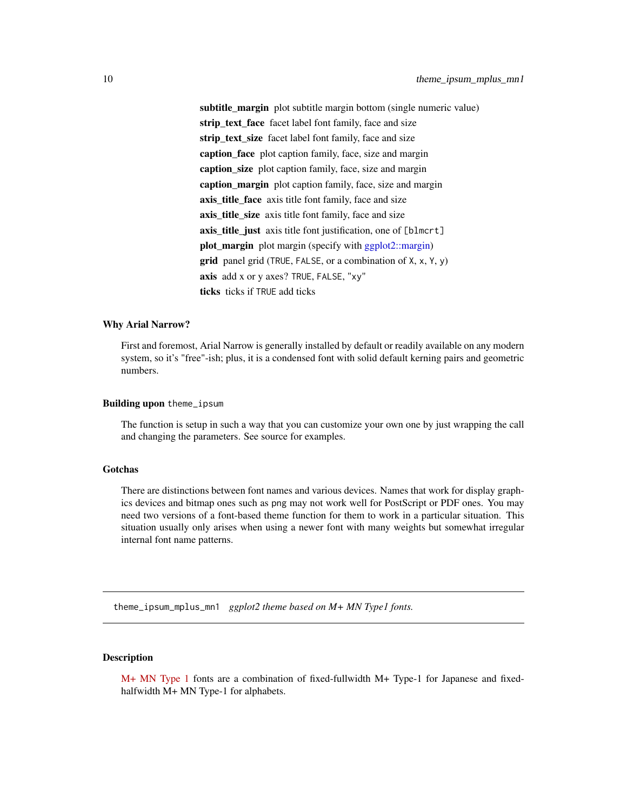<span id="page-9-0"></span>subtitle\_margin plot subtitle margin bottom (single numeric value) strip\_text\_face facet label font family, face and size strip text size facet label font family, face and size caption face plot caption family, face, size and margin caption\_size plot caption family, face, size and margin caption\_margin plot caption family, face, size and margin axis title face axis title font family, face and size axis\_title\_size axis title font family, face and size axis\_title\_just axis title font justification, one of [blmcrt] plot\_margin plot margin (specify with [ggplot2::margin\)](#page-0-0)  $grid$  panel grid (TRUE, FALSE, or a combination of  $X, X, Y, y$ ) axis add x or y axes? TRUE, FALSE, "xy" ticks ticks if TRUE add ticks

#### Why Arial Narrow?

First and foremost, Arial Narrow is generally installed by default or readily available on any modern system, so it's "free"-ish; plus, it is a condensed font with solid default kerning pairs and geometric numbers.

## Building upon theme\_ipsum

The function is setup in such a way that you can customize your own one by just wrapping the call and changing the parameters. See source for examples.

# Gotchas

There are distinctions between font names and various devices. Names that work for display graphics devices and bitmap ones such as png may not work well for PostScript or PDF ones. You may need two versions of a font-based theme function for them to work in a particular situation. This situation usually only arises when using a newer font with many weights but somewhat irregular internal font name patterns.

theme\_ipsum\_mplus\_mn1 *ggplot2 theme based on M+ MN Type1 fonts.*

# **Description**

[M+ MN Type 1](http://mplus-fonts.osdn.jp/design.html#mplus_mn1) fonts are a combination of fixed-fullwidth M+ Type-1 for Japanese and fixedhalfwidth M+ MN Type-1 for alphabets.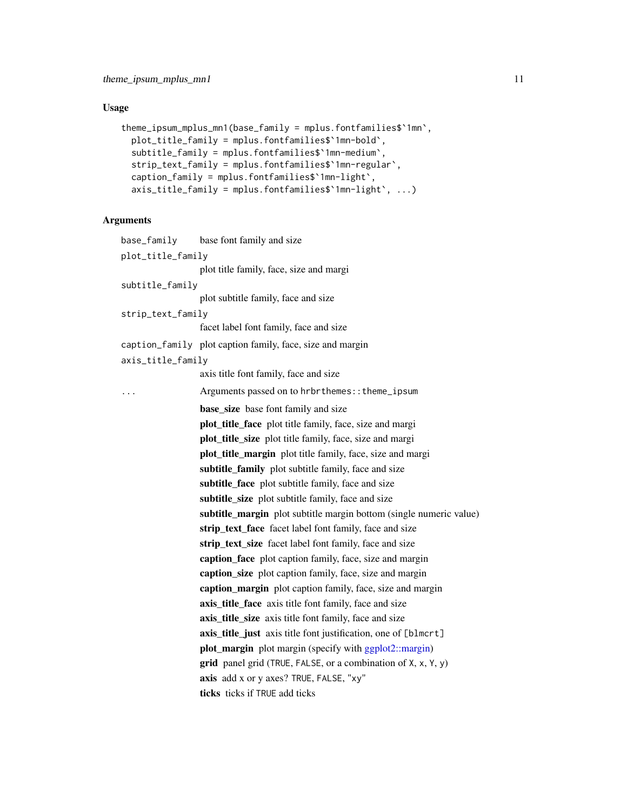# <span id="page-10-0"></span>Usage

```
theme_ipsum_mplus_mn1(base_family = mplus.fontfamilies$`1mn`,
 plot_title_family = mplus.fontfamilies$`1mn-bold`,
  subtitle_family = mplus.fontfamilies$`1mn-medium`,
 strip_text_family = mplus.fontfamilies$`1mn-regular`,
  caption_family = mplus.fontfamilies$`1mn-light`,
  axis_title_family = mplus.fontfamilies$`1mn-light`, ...)
```

| base_family       | base font family and size                                          |
|-------------------|--------------------------------------------------------------------|
| plot_title_family |                                                                    |
|                   | plot title family, face, size and margi                            |
| subtitle_family   |                                                                    |
|                   | plot subtitle family, face and size                                |
| strip_text_family |                                                                    |
|                   | facet label font family, face and size                             |
|                   | caption_family plot caption family, face, size and margin          |
| axis_title_family |                                                                    |
|                   | axis title font family, face and size                              |
| $\ddots$          | Arguments passed on to hrbrthemes:: theme_ipsum                    |
|                   | <b>base_size</b> base font family and size                         |
|                   | plot_title_face plot title family, face, size and margi            |
|                   | plot_title_size plot title family, face, size and margi            |
|                   | plot_title_margin plot title family, face, size and margi          |
|                   | subtitle_family plot subtitle family, face and size                |
|                   | subtitle_face plot subtitle family, face and size                  |
|                   | subtitle_size plot subtitle family, face and size                  |
|                   | subtitle_margin plot subtitle margin bottom (single numeric value) |
|                   | strip_text_face facet label font family, face and size             |
|                   | strip_text_size facet label font family, face and size             |
|                   | caption_face plot caption family, face, size and margin            |
|                   | caption_size plot caption family, face, size and margin            |
|                   | caption_margin plot caption family, face, size and margin          |
|                   | axis_title_face axis title font family, face and size              |
|                   | axis_title_size axis title font family, face and size              |
|                   | axis_title_just axis title font justification, one of [blmcrt]     |
|                   | plot_margin plot margin (specify with ggplot2::margin)             |
|                   | grid panel grid (TRUE, FALSE, or a combination of X, x, Y, y)      |
|                   | axis add x or y axes? TRUE, FALSE, "xy"                            |
|                   | ticks ticks if TRUE add ticks                                      |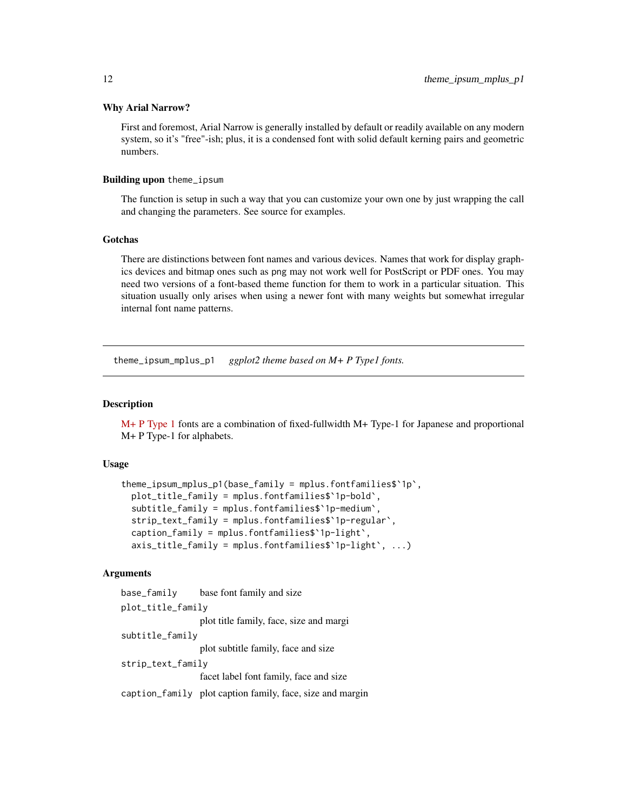#### <span id="page-11-0"></span>Why Arial Narrow?

First and foremost, Arial Narrow is generally installed by default or readily available on any modern system, so it's "free"-ish; plus, it is a condensed font with solid default kerning pairs and geometric numbers.

# Building upon theme\_ipsum

The function is setup in such a way that you can customize your own one by just wrapping the call and changing the parameters. See source for examples.

#### Gotchas

There are distinctions between font names and various devices. Names that work for display graphics devices and bitmap ones such as png may not work well for PostScript or PDF ones. You may need two versions of a font-based theme function for them to work in a particular situation. This situation usually only arises when using a newer font with many weights but somewhat irregular internal font name patterns.

theme\_ipsum\_mplus\_p1 *ggplot2 theme based on M+ P Type1 fonts.*

# **Description**

[M+ P Type 1](http://mplus-fonts.osdn.jp/design.html#mplus_p1) fonts are a combination of fixed-fullwidth M+ Type-1 for Japanese and proportional M+ P Type-1 for alphabets.

# Usage

```
theme_ipsum_mplus_p1(base_family = mplus.fontfamilies$`1p`,
 plot_title_family = mplus.fontfamilies$`1p-bold`,
  subtitle_family = mplus.fontfamilies$`1p-medium`,
  strip_text_family = mplus.fontfamilies$`1p-regular`,
  caption_family = mplus.fontfamilies$`1p-light`,
  axis_title_family = mplus.fontfamilies$`1p-light`, ...)
```

| base_family       | base font family and size                                 |  |  |
|-------------------|-----------------------------------------------------------|--|--|
| plot_title_family |                                                           |  |  |
|                   | plot title family, face, size and margi                   |  |  |
| subtitle_family   |                                                           |  |  |
|                   | plot subtitle family, face and size                       |  |  |
| strip_text_family |                                                           |  |  |
|                   | facet label font family, face and size                    |  |  |
|                   | caption_family plot caption family, face, size and margin |  |  |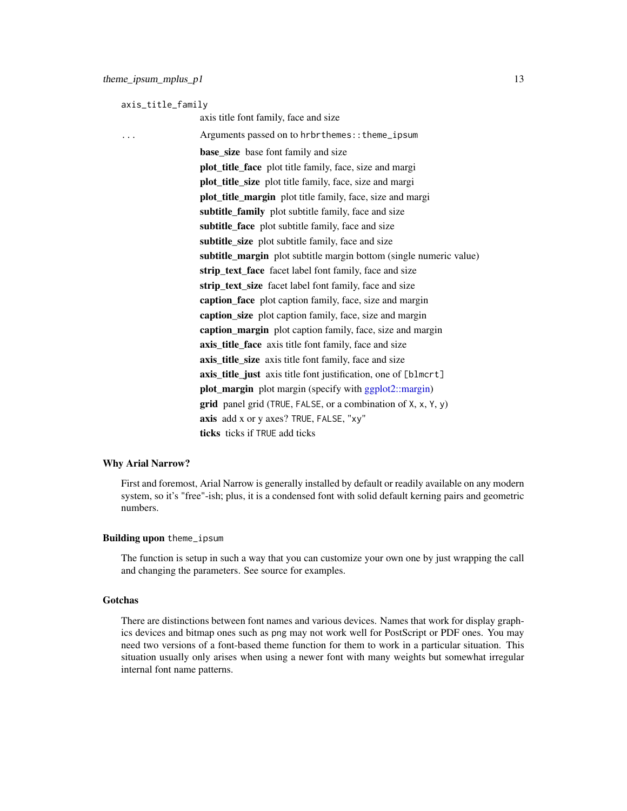<span id="page-12-0"></span>axis\_title\_family

axis title font family, face and size ... Arguments passed on to hrbrthemes::theme\_ipsum base\_size base font family and size plot title face plot title family, face, size and margi plot\_title\_size plot title family, face, size and margi plot\_title\_margin plot title family, face, size and margi subtitle\_family plot subtitle family, face and size subtitle face plot subtitle family, face and size subtitle\_size plot subtitle family, face and size subtitle\_margin plot subtitle margin bottom (single numeric value) strip\_text\_face facet label font family, face and size strip\_text\_size facet label font family, face and size caption\_face plot caption family, face, size and margin caption\_size plot caption family, face, size and margin caption margin plot caption family, face, size and margin axis title face axis title font family, face and size axis\_title\_size axis title font family, face and size axis\_title\_just axis title font justification, one of [blmcrt] plot\_margin plot margin (specify with [ggplot2::margin\)](#page-0-0) **grid** panel grid (TRUE, FALSE, or a combination of  $X$ ,  $x$ ,  $Y$ ,  $y$ ) axis add x or y axes? TRUE, FALSE, "xy" ticks ticks if TRUE add ticks

# Why Arial Narrow?

First and foremost, Arial Narrow is generally installed by default or readily available on any modern system, so it's "free"-ish; plus, it is a condensed font with solid default kerning pairs and geometric numbers.

# Building upon theme\_ipsum

The function is setup in such a way that you can customize your own one by just wrapping the call and changing the parameters. See source for examples.

# Gotchas

There are distinctions between font names and various devices. Names that work for display graphics devices and bitmap ones such as png may not work well for PostScript or PDF ones. You may need two versions of a font-based theme function for them to work in a particular situation. This situation usually only arises when using a newer font with many weights but somewhat irregular internal font name patterns.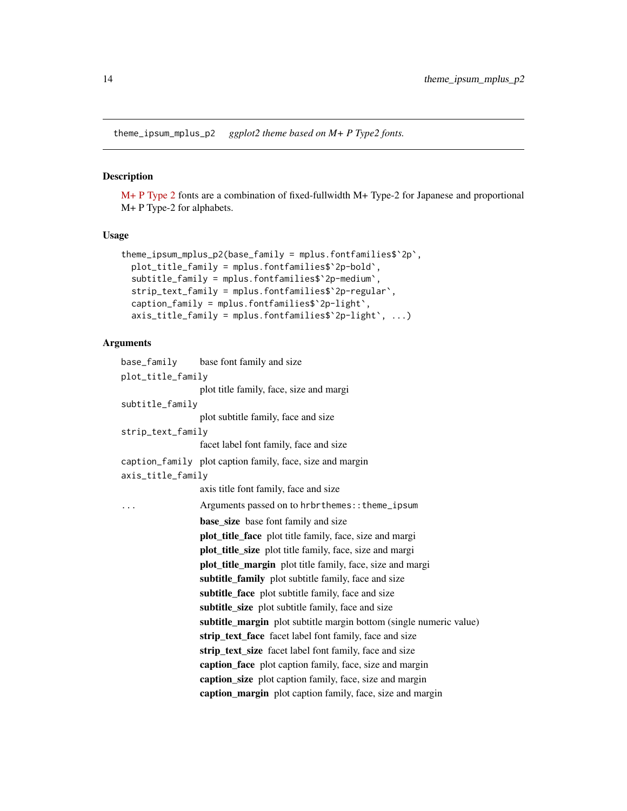<span id="page-13-0"></span>theme\_ipsum\_mplus\_p2 *ggplot2 theme based on M+ P Type2 fonts.*

# Description

[M+ P Type 2](http://mplus-fonts.osdn.jp/design.html#mplus_p2) fonts are a combination of fixed-fullwidth M+ Type-2 for Japanese and proportional M+ P Type-2 for alphabets.

# Usage

```
theme_ipsum_mplus_p2(base_family = mplus.fontfamilies$`2p`,
 plot_title_family = mplus.fontfamilies$`2p-bold`,
 subtitle_family = mplus.fontfamilies$`2p-medium`,
 strip_text_family = mplus.fontfamilies$`2p-regular`,
 caption_family = mplus.fontfamilies$`2p-light`,
 axis_title_family = mplus.fontfamilies$`2p-light`, ...)
```

|                   | base_family base font family and size                              |
|-------------------|--------------------------------------------------------------------|
| plot_title_family |                                                                    |
|                   | plot title family, face, size and margi                            |
| subtitle_family   |                                                                    |
|                   | plot subtitle family, face and size                                |
| strip_text_family |                                                                    |
|                   | facet label font family, face and size                             |
|                   | caption_family plot caption family, face, size and margin          |
| axis_title_family |                                                                    |
|                   | axis title font family, face and size                              |
| .                 | Arguments passed on to hrbrthemes:: theme_ipsum                    |
|                   | <b>base_size</b> base font family and size                         |
|                   | plot_title_face plot title family, face, size and margi            |
|                   | <b>plot_title_size</b> plot title family, face, size and margi     |
|                   | plot_title_margin plot title family, face, size and margi          |
|                   | subtitle_family plot subtitle family, face and size                |
|                   | subtitle_face plot subtitle family, face and size                  |
|                   | subtitle_size plot subtitle family, face and size                  |
|                   | subtitle_margin plot subtitle margin bottom (single numeric value) |
|                   | <b>strip_text_face</b> facet label font family, face and size      |
|                   | strip_text_size facet label font family, face and size             |
|                   | caption_face plot caption family, face, size and margin            |
|                   | caption_size plot caption family, face, size and margin            |
|                   | caption_margin plot caption family, face, size and margin          |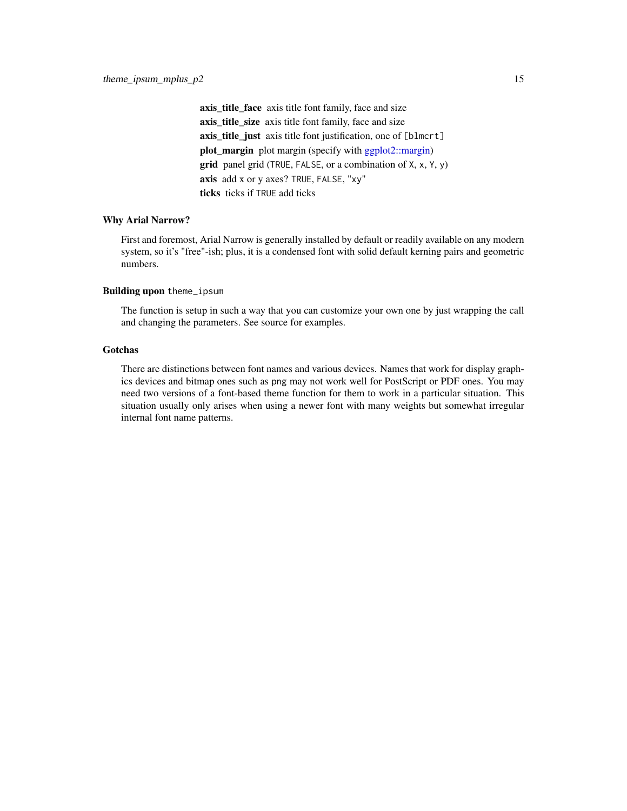<span id="page-14-0"></span>axis\_title\_face axis title font family, face and size axis\_title\_size axis title font family, face and size axis\_title\_just axis title font justification, one of [blmcrt] plot\_margin plot margin (specify with [ggplot2::margin\)](#page-0-0) **grid** panel grid (TRUE, FALSE, or a combination of  $X$ ,  $X$ ,  $Y$ ,  $Y$ ) axis add x or y axes? TRUE, FALSE, "xy" ticks ticks if TRUE add ticks

# Why Arial Narrow?

First and foremost, Arial Narrow is generally installed by default or readily available on any modern system, so it's "free"-ish; plus, it is a condensed font with solid default kerning pairs and geometric numbers.

#### Building upon theme\_ipsum

The function is setup in such a way that you can customize your own one by just wrapping the call and changing the parameters. See source for examples.

# Gotchas

There are distinctions between font names and various devices. Names that work for display graphics devices and bitmap ones such as png may not work well for PostScript or PDF ones. You may need two versions of a font-based theme function for them to work in a particular situation. This situation usually only arises when using a newer font with many weights but somewhat irregular internal font name patterns.